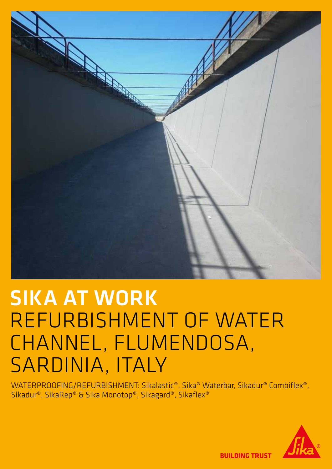

# SIKA AT WORK REFURBISHMENT OF WATER CHANNEL, FLUMENDOSA, SARDINIA, ITALY

WATERPROOFING/REFURBISHMENT: Sikalastic®, Sika® Waterbar, Sikadur® Combiflex®, Sikadur®, SikaRep® & Sika Monotop®, Sikagard®, Sikaflex®



**BUILDING TRUST**